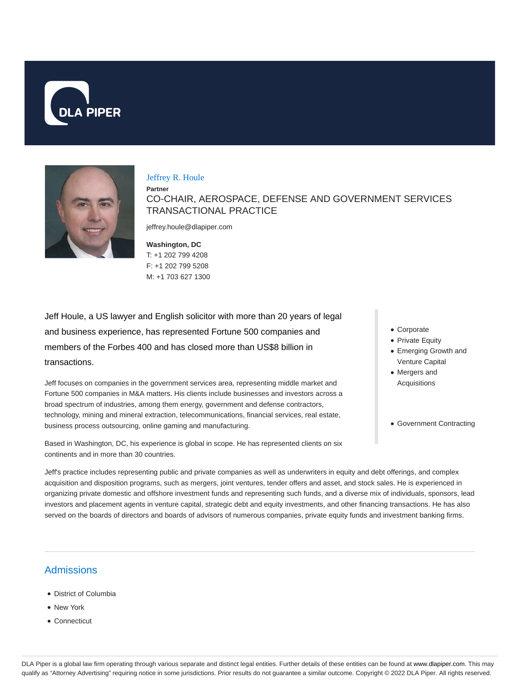



### Jeffrey R. Houle

**Partner** CO-CHAIR, AEROSPACE, DEFENSE AND GOVERNMENT SERVICES TRANSACTIONAL PRACTICE

jeffrey.houle@dlapiper.com

**Washington, DC** T: +1 202 799 4208 F: +1 202 799 5208 M: +1 703 627 1300

Jeff Houle, a US lawyer and English solicitor with more than 20 years of legal and business experience, has represented Fortune 500 companies and members of the Forbes 400 and has closed more than US\$8 billion in transactions.

Jeff focuses on companies in the government services area, representing middle market and Fortune 500 companies in M&A matters. His clients include businesses and investors across a broad spectrum of industries, among them energy, government and defense contractors, technology, mining and mineral extraction, telecommunications, financial services, real estate, business process outsourcing, online gaming and manufacturing.

Based in Washington, DC, his experience is global in scope. He has represented clients on six continents and in more than 30 countries.

- Corporate
- Private Equity
- Emerging Growth and Venture Capital
- Mergers and Acquisitions
- Government Contracting

Jeff's practice includes representing public and private companies as well as underwriters in equity and debt offerings, and complex acquisition and disposition programs, such as mergers, joint ventures, tender offers and asset, and stock sales. He is experienced in organizing private domestic and offshore investment funds and representing such funds, and a diverse mix of individuals, sponsors, lead investors and placement agents in venture capital, strategic debt and equity investments, and other financing transactions. He has also served on the boards of directors and boards of advisors of numerous companies, private equity funds and investment banking firms.

# Admissions

- District of Columbia
- New York
- Connecticut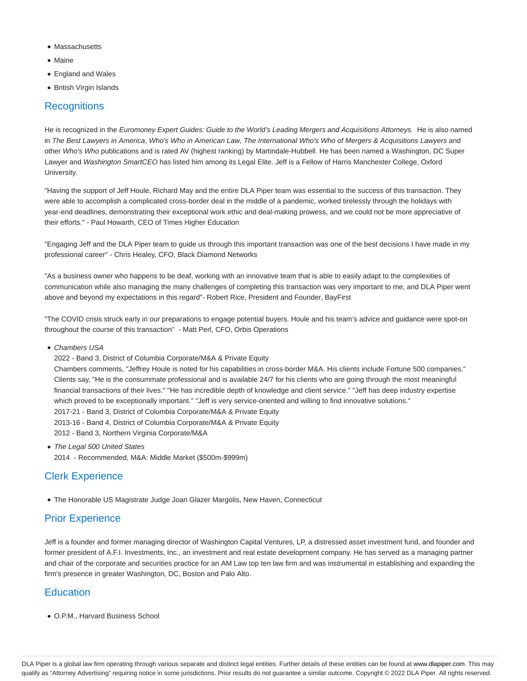- **Massachusetts**
- Maine
- England and Wales
- British Virgin Islands

# **Recognitions**

He is recognized in the Euromoney Expert Guides: Guide to the World's Leading Mergers and Acquisitions Attorneys. He is also named in The Best Lawyers in America, Who's Who in American Law, The International Who's Who of Mergers & Acquisitions Lawyers and other Who's Who publications and is rated AV (highest ranking) by Martindale-Hubbell. He has been named a Washington, DC Super Lawyer and Washington SmartCEO has listed him among its Legal Elite. Jeff is a Fellow of Harris Manchester College, Oxford University.

"Having the support of Jeff Houle, Richard May and the entire DLA Piper team was essential to the success of this transaction. They were able to accomplish a complicated cross-border deal in the middle of a pandemic, worked tirelessly through the holidays with year-end deadlines, demonstrating their exceptional work ethic and deal-making prowess, and we could not be more appreciative of their efforts." - Paul Howarth, CEO of Times Higher Education

"Engaging Jeff and the DLA Piper team to guide us through this important transaction was one of the best decisions I have made in my professional career" - Chris Healey, CFO, Black Diamond Networks

"As a business owner who happens to be deaf, working with an innovative team that is able to easily adapt to the complexities of communication while also managing the many challenges of completing this transaction was very important to me, and DLA Piper went above and beyond my expectations in this regard"- Robert Rice, President and Founder, BayFirst

"The COVID crisis struck early in our preparations to engage potential buyers. Houle and his team's advice and guidance were spot-on throughout the course of this transaction" - Matt Perl, CFO, Orbis Operations

- Chambers USA
	- 2022 Band 3, District of Columbia Corporate/M&A & Private Equity

Chambers comments, "Jeffrey Houle is noted for his capabilities in cross-border M&A. His clients include Fortune 500 companies." Clients say, "He is the consummate professional and is available 24/7 for his clients who are going through the most meaningful financial transactions of their lives." "He has incredible depth of knowledge and client service." "Jeff has deep industry expertise which proved to be exceptionally important." "Jeff is very service-oriented and willing to find innovative solutions." 2017-21 - Band 3, District of Columbia Corporate/M&A & Private Equity 2013-16 - Band 4, District of Columbia Corporate/M&A & Private Equity

- 2012 Band 3, Northern Virginia Corporate/M&A
- The Legal 500 United States 2014 - Recommended, M&A: Middle Market (\$500m-\$999m)

# Clerk Experience

The Honorable US Magistrate Judge Joan Glazer Margolis, New Haven, Connecticut

# Prior Experience

Jeff is a founder and former managing director of Washington Capital Ventures, LP, a distressed asset investment fund, and founder and former president of A.F.I. Investments, Inc., an investment and real estate development company. He has served as a managing partner and chair of the corporate and securities practice for an AM Law top ten law firm and was instrumental in establishing and expanding the firm's presence in greater Washington, DC, Boston and Palo Alto.

# **Education**

O.P.M., Harvard Business School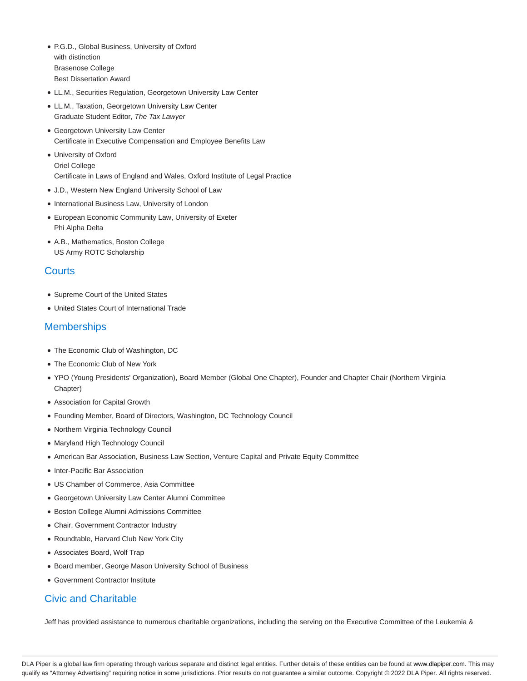- P.G.D., Global Business, University of Oxford with distinction Brasenose College Best Dissertation Award
- LL.M., Securities Regulation, Georgetown University Law Center
- LL.M., Taxation, Georgetown University Law Center Graduate Student Editor, The Tax Lawyer
- Georgetown University Law Center Certificate in Executive Compensation and Employee Benefits Law
- University of Oxford Oriel College Certificate in Laws of England and Wales, Oxford Institute of Legal Practice
- J.D., Western New England University School of Law
- International Business Law, University of London
- European Economic Community Law, University of Exeter Phi Alpha Delta
- A.B., Mathematics, Boston College US Army ROTC Scholarship

# **Courts**

- Supreme Court of the United States
- United States Court of International Trade

### **Memberships**

- The Economic Club of Washington, DC
- The Economic Club of New York
- YPO (Young Presidents' Organization), Board Member (Global One Chapter), Founder and Chapter Chair (Northern Virginia Chapter)
- Association for Capital Growth
- Founding Member, Board of Directors, Washington, DC Technology Council
- Northern Virginia Technology Council
- Maryland High Technology Council
- American Bar Association, Business Law Section, Venture Capital and Private Equity Committee
- Inter-Pacific Bar Association
- US Chamber of Commerce, Asia Committee
- Georgetown University Law Center Alumni Committee
- Boston College Alumni Admissions Committee
- Chair, Government Contractor Industry
- Roundtable, Harvard Club New York City
- Associates Board, Wolf Trap
- Board member, George Mason University School of Business
- Government Contractor Institute

# Civic and Charitable

Jeff has provided assistance to numerous charitable organizations, including the serving on the Executive Committee of the Leukemia &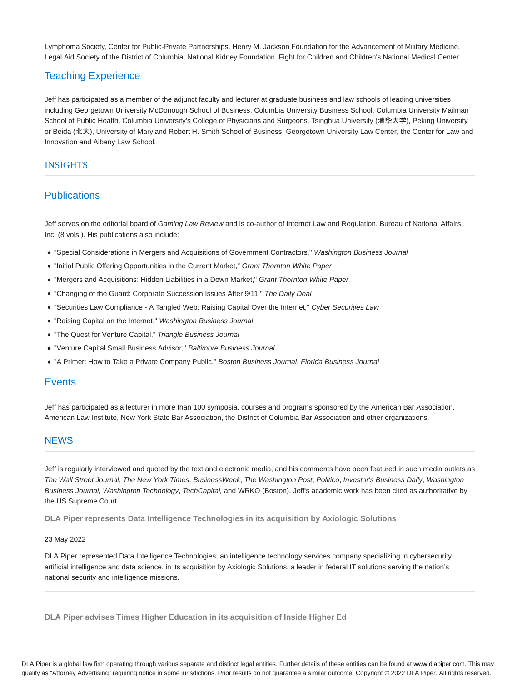Lymphoma Society, Center for Public-Private Partnerships, Henry M. Jackson Foundation for the Advancement of Military Medicine, Legal Aid Society of the District of Columbia, National Kidney Foundation, Fight for Children and Children's National Medical Center.

# Teaching Experience

Jeff has participated as a member of the adjunct faculty and lecturer at graduate business and law schools of leading universities including Georgetown University McDonough School of Business, Columbia University Business School, Columbia University Mailman School of Public Health, Columbia University's College of Physicians and Surgeons, Tsinghua University (清华大学), Peking University or Beida (北大), University of Maryland Robert H. Smith School of Business, Georgetown University Law Center, the Center for Law and Innovation and Albany Law School.

### INSIGHTS

# **Publications**

Jeff serves on the editorial board of Gaming Law Review and is co-author of Internet Law and Regulation, Bureau of National Affairs, Inc. (8 vols.). His publications also include:

- "Special Considerations in Mergers and Acquisitions of Government Contractors," Washington Business Journal
- "Initial Public Offering Opportunities in the Current Market," Grant Thornton White Paper
- "Mergers and Acquisitions: Hidden Liabilities in a Down Market," Grant Thornton White Paper
- "Changing of the Guard: Corporate Succession Issues After 9/11," The Daily Deal
- "Securities Law Compliance A Tangled Web: Raising Capital Over the Internet," Cyber Securities Law
- "Raising Capital on the Internet," Washington Business Journal
- "The Quest for Venture Capital," Triangle Business Journal
- "Venture Capital Small Business Advisor," Baltimore Business Journal
- "A Primer: How to Take a Private Company Public," Boston Business Journal, Florida Business Journal

### **Events**

Jeff has participated as a lecturer in more than 100 symposia, courses and programs sponsored by the American Bar Association, American Law Institute, New York State Bar Association, the District of Columbia Bar Association and other organizations.

### **NEWS**

Jeff is regularly interviewed and quoted by the text and electronic media, and his comments have been featured in such media outlets as The Wall Street Journal, The New York Times, BusinessWeek, The Washington Post, Politico, Investor's Business Daily, Washington Business Journal, Washington Technology, TechCapital, and WRKO (Boston). Jeff's academic work has been cited as authoritative by the US Supreme Court.

**DLA Piper represents Data Intelligence Technologies in its acquisition by Axiologic Solutions**

### 23 May 2022

DLA Piper represented Data Intelligence Technologies, an intelligence technology services company specializing in cybersecurity, artificial intelligence and data science, in its acquisition by Axiologic Solutions, a leader in federal IT solutions serving the nation's national security and intelligence missions.

**DLA Piper advises Times Higher Education in its acquisition of Inside Higher Ed**

DLA Piper is a global law firm operating through various separate and distinct legal entities. Further details of these entities can be found at www.dlapiper.com. This may qualify as "Attorney Advertising" requiring notice in some jurisdictions. Prior results do not guarantee a similar outcome. Copyright @ 2022 DLA Piper. All rights reserved.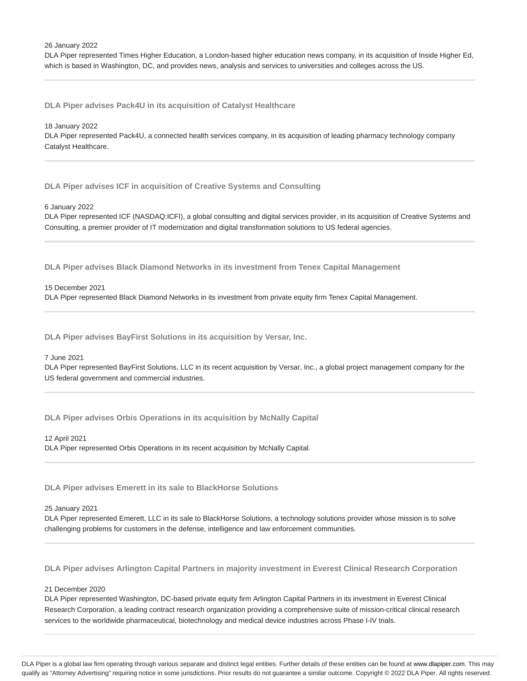26 January 2022

DLA Piper represented Times Higher Education, a London-based higher education news company, in its acquisition of Inside Higher Ed, which is based in Washington, DC, and provides news, analysis and services to universities and colleges across the US.

**DLA Piper advises Pack4U in its acquisition of Catalyst Healthcare**

#### 18 January 2022

DLA Piper represented Pack4U, a connected health services company, in its acquisition of leading pharmacy technology company Catalyst Healthcare.

**DLA Piper advises ICF in acquisition of Creative Systems and Consulting**

### 6 January 2022

DLA Piper represented ICF (NASDAQ:ICFI), a global consulting and digital services provider, in its acquisition of Creative Systems and Consulting, a premier provider of IT modernization and digital transformation solutions to US federal agencies.

**DLA Piper advises Black Diamond Networks in its investment from Tenex Capital Management**

#### 15 December 2021

DLA Piper represented Black Diamond Networks in its investment from private equity firm Tenex Capital Management.

**DLA Piper advises BayFirst Solutions in its acquisition by Versar, Inc.**

#### 7 June 2021

DLA Piper represented BayFirst Solutions, LLC in its recent acquisition by Versar, Inc., a global project management company for the US federal government and commercial industries.

**DLA Piper advises Orbis Operations in its acquisition by McNally Capital**

### 12 April 2021

DLA Piper represented Orbis Operations in its recent acquisition by McNally Capital.

**DLA Piper advises Emerett in its sale to BlackHorse Solutions**

#### 25 January 2021

DLA Piper represented Emerett, LLC in its sale to BlackHorse Solutions, a technology solutions provider whose mission is to solve challenging problems for customers in the defense, intelligence and law enforcement communities.

**DLA Piper advises Arlington Capital Partners in majority investment in Everest Clinical Research Corporation**

### 21 December 2020

DLA Piper represented Washington, DC-based private equity firm Arlington Capital Partners in its investment in Everest Clinical Research Corporation, a leading contract research organization providing a comprehensive suite of mission-critical clinical research services to the worldwide pharmaceutical, biotechnology and medical device industries across Phase I-IV trials.

DLA Piper is a global law firm operating through various separate and distinct legal entities. Further details of these entities can be found at www.dlapiper.com. This may qualify as "Attorney Advertising" requiring notice in some jurisdictions. Prior results do not guarantee a similar outcome. Copyright @ 2022 DLA Piper. All rights reserved.